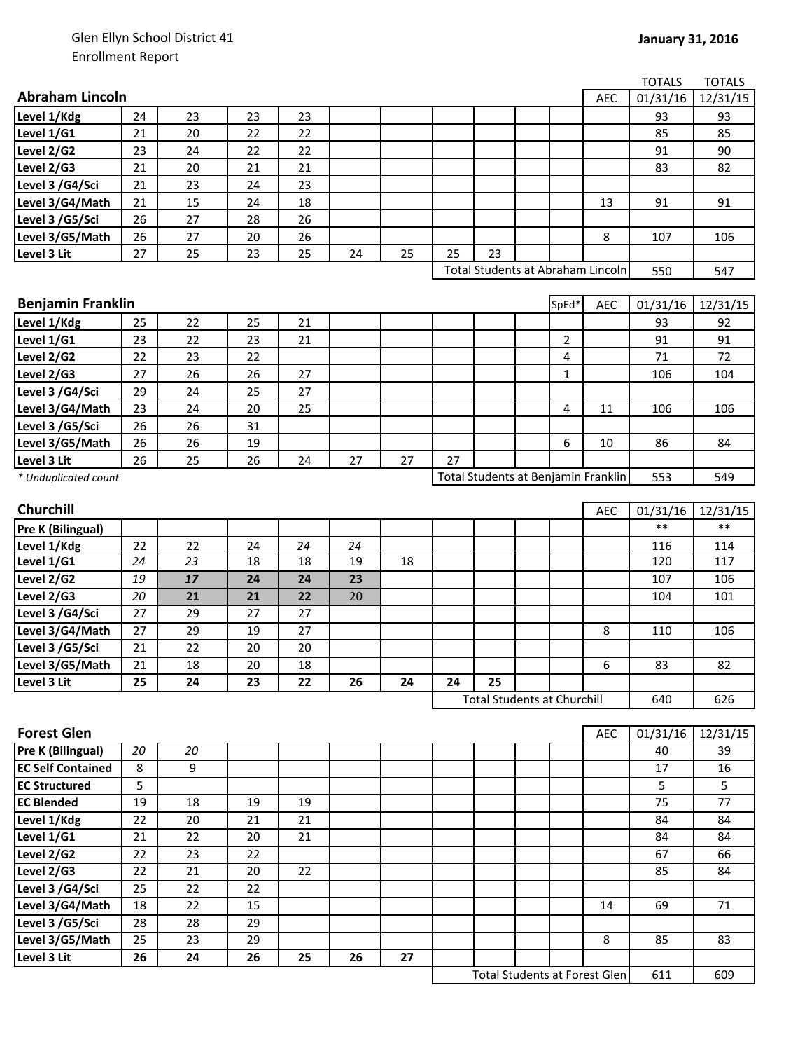|                          |    |    |    |    |    |    |    |                                     |                |            | <b>TOTALS</b>       | <b>TOTALS</b> |
|--------------------------|----|----|----|----|----|----|----|-------------------------------------|----------------|------------|---------------------|---------------|
| <b>Abraham Lincoln</b>   |    |    |    |    |    |    |    |                                     |                | <b>AEC</b> | 01/31/16            | 12/31/15      |
| Level 1/Kdg              | 24 | 23 | 23 | 23 |    |    |    |                                     |                |            | 93                  | 93            |
| Level 1/G1               | 21 | 20 | 22 | 22 |    |    |    |                                     |                |            | 85                  | 85            |
| Level 2/G2               | 23 | 24 | 22 | 22 |    |    |    |                                     |                |            | 91                  | 90            |
| Level 2/G3               | 21 | 20 | 21 | 21 |    |    |    |                                     |                |            | 83                  | 82            |
| Level 3 /G4/Sci          | 21 | 23 | 24 | 23 |    |    |    |                                     |                |            |                     |               |
| Level 3/G4/Math          | 21 | 15 | 24 | 18 |    |    |    |                                     |                | 13         | 91                  | 91            |
| Level 3 /G5/Sci          | 26 | 27 | 28 | 26 |    |    |    |                                     |                |            |                     |               |
| Level 3/G5/Math          | 26 | 27 | 20 | 26 |    |    |    |                                     |                | 8          | 107                 | 106           |
| Level 3 Lit              | 27 | 25 | 23 | 25 | 24 | 25 | 25 | 23                                  |                |            |                     |               |
|                          |    |    |    |    |    |    |    | Total Students at Abraham Lincoln   |                |            | 550                 | 547           |
|                          |    |    |    |    |    |    |    |                                     |                |            |                     |               |
| <b>Benjamin Franklin</b> |    |    |    |    |    |    |    |                                     | SpEd*          | <b>AEC</b> | 01/31/16            | 12/31/15      |
| Level 1/Kdg              | 25 | 22 | 25 | 21 |    |    |    |                                     |                |            | 93                  | 92            |
| Level 1/G1               | 23 | 22 | 23 | 21 |    |    |    |                                     | $\overline{2}$ |            | 91                  | 91            |
| Level 2/G2               | 22 | 23 | 22 |    |    |    |    |                                     | 4              |            | 71                  | 72            |
| Level 2/G3               | 27 | 26 | 26 | 27 |    |    |    |                                     | $\mathbf 1$    |            | 106                 | 104           |
| Level 3 /G4/Sci          | 29 | 24 | 25 | 27 |    |    |    |                                     |                |            |                     |               |
| Level 3/G4/Math          | 23 | 24 | 20 | 25 |    |    |    |                                     | 4              | 11         | 106                 | 106           |
| Level 3 /G5/Sci          | 26 | 26 | 31 |    |    |    |    |                                     |                |            |                     |               |
| Level 3/G5/Math          | 26 | 26 | 19 |    |    |    |    |                                     | 6              | 10         | 86                  | 84            |
| Level 3 Lit              | 26 | 25 | 26 | 24 | 27 | 27 | 27 |                                     |                |            |                     |               |
| * Unduplicated count     |    |    |    |    |    |    |    | Total Students at Benjamin Franklin |                |            | 553                 | 549           |
| Churchill                |    |    |    |    |    |    |    |                                     |                | <b>AEC</b> | 01/31/16            | 12/31/15      |
| Pre K (Bilingual)        |    |    |    |    |    |    |    |                                     |                |            | $***$               | $**$          |
| Level 1/Kdg              | 22 | 22 | 24 | 24 | 24 |    |    |                                     |                |            | 116                 | 114           |
| Level 1/G1               | 24 | 23 | 18 | 18 | 19 | 18 |    |                                     |                |            | 120                 | 117           |
| Level 2/G2               | 19 | 17 | 24 | 24 | 23 |    |    |                                     |                |            | 107                 | 106           |
| Level 2/G3               | 20 | 21 | 21 | 22 | 20 |    |    |                                     |                |            | 104                 | 101           |
| Level 3 /G4/Sci          | 27 | 29 | 27 | 27 |    |    |    |                                     |                |            |                     |               |
| Level 3/G4/Math          | 27 | 29 | 19 | 27 |    |    |    |                                     |                | 8          | 110                 | 106           |
| Level 3 /G5/Sci          | 21 | 22 | 20 | 20 |    |    |    |                                     |                |            |                     |               |
| Level 3/G5/Math          | 21 | 18 | 20 | 18 |    |    |    |                                     |                | 6          | 83                  | 82            |
| Level 3 Lit              | 25 | 24 | 23 | 22 | 26 | 24 | 24 | 25                                  |                |            |                     |               |
|                          |    |    |    |    |    |    |    | <b>Total Students at Churchill</b>  |                |            | 640                 | 626           |
| <b>Forest Glen</b>       |    |    |    |    |    |    |    |                                     |                | AEC        | $\frac{01}{31}{16}$ | 12/31/15      |
| <b>Pre K (Bilingual)</b> | 20 | 20 |    |    |    |    |    |                                     |                |            | 40                  | 39            |
| <b>EC Self Contained</b> | 8  | 9  |    |    |    |    |    |                                     |                |            | 17                  | 16            |
| <b>EC Structured</b>     | 5  |    |    |    |    |    |    |                                     |                |            | 5                   | 5             |
| <b>EC Blended</b>        | 19 | 18 | 19 | 19 |    |    |    |                                     |                |            | 75                  | 77            |
| Level 1/Kdg              | 22 | 20 | 21 | 21 |    |    |    |                                     |                |            | 84                  | 84            |
| Level 1/G1               | 21 | 22 | 20 | 21 |    |    |    |                                     |                |            | 84                  | 84            |
| Level 2/G2               | 22 | 23 | 22 |    |    |    |    |                                     |                |            | 67                  | 66            |
| Level $2/G3$             | 22 | 21 | 20 | 22 |    |    |    |                                     |                |            | 85                  | 84            |
| Level 3 /G4/Sci          | 25 | 22 | 22 |    |    |    |    |                                     |                |            |                     |               |
| Level 3/G4/Math          | 18 | 22 | 15 |    |    |    |    |                                     |                | 14         | 69                  | 71            |
| Level 3 /G5/Sci          | 28 | 28 | 29 |    |    |    |    |                                     |                |            |                     |               |
| Level 3/G5/Math          | 25 | 23 | 29 |    |    |    |    |                                     |                | 8          | 85                  | 83            |
| Level 3 Lit              | 26 | 24 | 26 | 25 | 26 | 27 |    |                                     |                |            |                     |               |

611 609 Total Students at Forest Glen

 $\overline{\phantom{a}}$